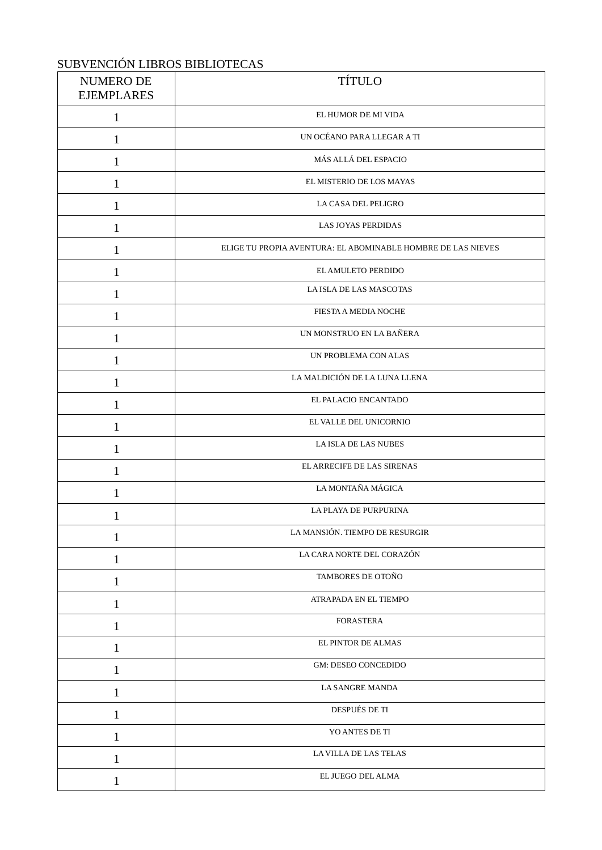## SUBVENCIÓN LIBROS BIBLIOTECAS

| NUMERO DE<br><b>EJEMPLARES</b> | <b>TÍTULO</b>                                                |
|--------------------------------|--------------------------------------------------------------|
| 1                              | EL HUMOR DE MI VIDA                                          |
| 1                              | UN OCÉANO PARA LLEGAR A TI                                   |
| 1                              | MÁS ALLÁ DEL ESPACIO                                         |
| $\mathbf{1}$                   | EL MISTERIO DE LOS MAYAS                                     |
| $\mathbf{1}$                   | LA CASA DEL PELIGRO                                          |
| $\mathbf 1$                    | <b>LAS JOYAS PERDIDAS</b>                                    |
| 1                              | ELIGE TU PROPIA AVENTURA: EL ABOMINABLE HOMBRE DE LAS NIEVES |
| 1                              | EL AMULETO PERDIDO                                           |
| 1                              | LA ISLA DE LAS MASCOTAS                                      |
| 1                              | FIESTA A MEDIA NOCHE                                         |
| 1                              | UN MONSTRUO EN LA BAÑERA                                     |
| $\mathbf{1}$                   | UN PROBLEMA CON ALAS                                         |
| 1                              | LA MALDICIÓN DE LA LUNA LLENA                                |
| 1                              | EL PALACIO ENCANTADO                                         |
| 1                              | EL VALLE DEL UNICORNIO                                       |
| 1                              | LA ISLA DE LAS NUBES                                         |
| 1                              | EL ARRECIFE DE LAS SIRENAS                                   |
| 1                              | LA MONTAÑA MÁGICA                                            |
| 1                              | LA PLAYA DE PURPURINA                                        |
| 1                              | LA MANSIÓN. TIEMPO DE RESURGIR                               |
| $\mathbf{1}%$                  | LA CARA NORTE DEL CORAZÓN                                    |
| $\mathbf{1}%$                  | TAMBORES DE OTOÑO                                            |
| $\mathbf{1}$                   | ATRAPADA EN EL TIEMPO                                        |
| $\mathbf{1}$                   | <b>FORASTERA</b>                                             |
| $\mathbf{1}%$                  | EL PINTOR DE ALMAS                                           |
| $\mathbf{1}$                   | GM: DESEO CONCEDIDO                                          |
| $\mathbf 1$                    | LA SANGRE MANDA                                              |
| $\mathbf{1}%$                  | DESPUÉS DE TI                                                |
| $\mathbf{1}$                   | YO ANTES DE TI                                               |
| 1                              | LA VILLA DE LAS TELAS                                        |
| $\mathbf{1}$                   | EL JUEGO DEL ALMA                                            |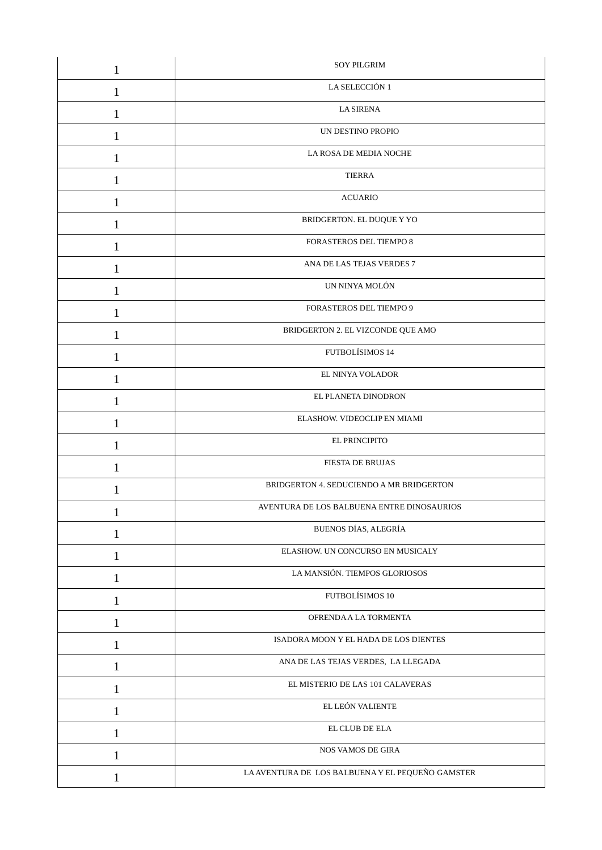| $\mathbf{1}$ | <b>SOY PILGRIM</b>                               |
|--------------|--------------------------------------------------|
| 1            | LA SELECCIÓN 1                                   |
| $\mathbf{1}$ | <b>LA SIRENA</b>                                 |
| 1            | UN DESTINO PROPIO                                |
| 1            | LA ROSA DE MEDIA NOCHE                           |
| $\mathbf{1}$ | <b>TIERRA</b>                                    |
| 1            | <b>ACUARIO</b>                                   |
| 1            | BRIDGERTON. EL DUQUE Y YO                        |
| 1            | FORASTEROS DEL TIEMPO 8                          |
| 1            | ANA DE LAS TEJAS VERDES 7                        |
| 1            | UN NINYA MOLÓN                                   |
| 1            | FORASTEROS DEL TIEMPO 9                          |
| $\mathbf{1}$ | BRIDGERTON 2. EL VIZCONDE QUE AMO                |
| 1            | FUTBOLÍSIMOS 14                                  |
| 1            | EL NINYA VOLADOR                                 |
| 1            | EL PLANETA DINODRON                              |
| 1            | ELASHOW. VIDEOCLIP EN MIAMI                      |
| 1            | EL PRINCIPITO                                    |
| $\mathbf{1}$ | <b>FIESTA DE BRUJAS</b>                          |
| 1            | BRIDGERTON 4. SEDUCIENDO A MR BRIDGERTON         |
|              | AVENTURA DE LOS BALBUENA ENTRE DINOSAURIOS       |
| 1            | <b>BUENOS DÍAS, ALEGRÍA</b>                      |
| 1            | ELASHOW. UN CONCURSO EN MUSICALY                 |
| 1            | LA MANSIÓN. TIEMPOS GLORIOSOS                    |
| 1            | FUTBOLÍSIMOS 10                                  |
| $\mathbf{1}$ | OFRENDA A LA TORMENTA                            |
| 1            | ISADORA MOON Y EL HADA DE LOS DIENTES            |
| 1            | ANA DE LAS TEJAS VERDES, LA LLEGADA              |
| $\mathbf{1}$ | EL MISTERIO DE LAS 101 CALAVERAS                 |
| 1            | EL LEÓN VALIENTE                                 |
| 1            | EL CLUB DE ELA                                   |
| $\mathbf{1}$ | NOS VAMOS DE GIRA                                |
| $\mathbf{1}$ | LA AVENTURA DE LOS BALBUENA Y EL PEQUEÑO GAMSTER |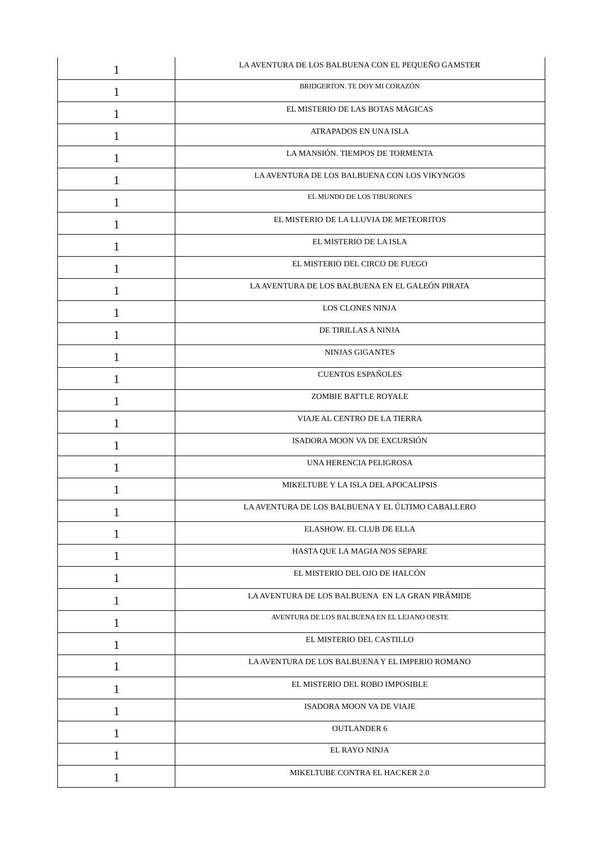| 1            | LA AVENTURA DE LOS BALBUENA CON EL PEQUEÑO GAMSTER |
|--------------|----------------------------------------------------|
| 1            | BRIDGERTON. TE DOY MI CORAZÓN                      |
| 1            | EL MISTERIO DE LAS BOTAS MÁGICAS                   |
| 1            | ATRAPADOS EN UNA ISLA                              |
| $\mathbf{1}$ | LA MANSIÓN. TIEMPOS DE TORMENTA                    |
| 1            | LA AVENTURA DE LOS BALBUENA CON LOS VIKYNGOS       |
| 1            | EL MUNDO DE LOS TIBURONES                          |
| 1            | EL MISTERIO DE LA LLUVIA DE METEORITOS             |
| 1            | EL MISTERIO DE LA ISLA                             |
| 1            | EL MISTERIO DEL CIRCO DE FUEGO                     |
| 1            | LA AVENTURA DE LOS BALBUENA EN EL GALEÓN PIRATA    |
| 1            | LOS CLONES NINJA                                   |
| 1            | DE TIRILLAS A NINJA                                |
| 1            | <b>NINJAS GIGANTES</b>                             |
| 1            | <b>CUENTOS ESPAÑOLES</b>                           |
| 1            | ZOMBIE BATTLE ROYALE                               |
| 1            | VIAJE AL CENTRO DE LA TIERRA                       |
| 1            | ISADORA MOON VA DE EXCURSIÓN                       |
| 1            | UNA HERENCIA PELIGROSA                             |
|              | MIKELTUBE Y LA ISLA DEL APOCALIPSIS                |
| T            | LA AVENTURA DE LOS BALBUENA Y EL ÚLTIMO CABALLERO  |
| 1            | ELASHOW. EL CLUB DE ELLA                           |
| 1            | HASTA QUE LA MAGIA NOS SEPARE                      |
| 1            | EL MISTERIO DEL OJO DE HALCÓN                      |
| $\mathbf{1}$ | LA AVENTURA DE LOS BALBUENA EN LA GRAN PIRÁMIDE    |
| 1            | AVENTURA DE LOS BALBUENA EN EL LEJANO OESTE        |
| 1            | EL MISTERIO DEL CASTILLO                           |
| $\mathbf{1}$ | LA AVENTURA DE LOS BALBUENA Y EL IMPERIO ROMANO    |
| 1            | EL MISTERIO DEL ROBO IMPOSIBLE                     |
| 1            | ISADORA MOON VA DE VIAJE                           |
| $\mathbf{1}$ | <b>OUTLANDER 6</b>                                 |
| 1            | EL RAYO NINJA                                      |
| 1            | MIKELTUBE CONTRA EL HACKER 2.0                     |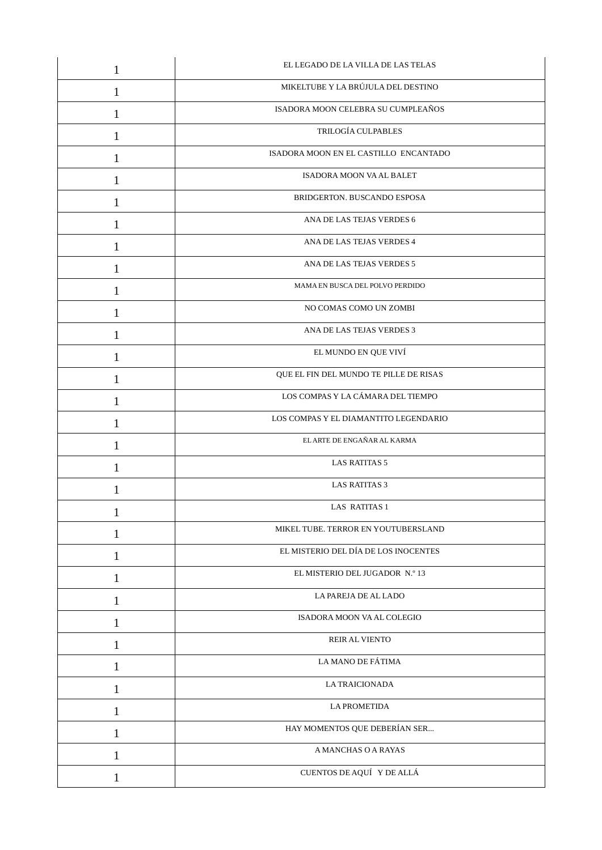| 1            | EL LEGADO DE LA VILLA DE LAS TELAS     |
|--------------|----------------------------------------|
| $\mathbf{1}$ | MIKELTUBE Y LA BRÚJULA DEL DESTINO     |
| 1            | ISADORA MOON CELEBRA SU CUMPLEAÑOS     |
| 1            | TRILOGÍA CULPABLES                     |
| $\mathbf{1}$ | ISADORA MOON EN EL CASTILLO ENCANTADO  |
| 1            | ISADORA MOON VA AL BALET               |
| 1            | BRIDGERTON. BUSCANDO ESPOSA            |
| 1            | ANA DE LAS TEJAS VERDES 6              |
| 1            | ANA DE LAS TEJAS VERDES 4              |
| 1            | ANA DE LAS TEJAS VERDES 5              |
| 1            | MAMA EN BUSCA DEL POLVO PERDIDO        |
| $\mathbf{1}$ | NO COMAS COMO UN ZOMBI                 |
| 1            | ANA DE LAS TEJAS VERDES 3              |
| 1            | EL MUNDO EN QUE VIVÍ                   |
| 1            | QUE EL FIN DEL MUNDO TE PILLE DE RISAS |
| 1            | LOS COMPAS Y LA CÁMARA DEL TIEMPO      |
| 1            | LOS COMPAS Y EL DIAMANTITO LEGENDARIO  |
| 1            | EL ARTE DE ENGAÑAR AL KARMA            |
| 1            | <b>LAS RATITAS 5</b>                   |
| 1            | <b>LAS RATITAS 3</b>                   |
| $\mathbf 1$  | LAS RATITAS 1                          |
| 1            | MIKEL TUBE. TERROR EN YOUTUBERSLAND    |
| 1            | EL MISTERIO DEL DÍA DE LOS INOCENTES   |
| 1            | EL MISTERIO DEL JUGADOR N.º 13         |
| $\mathbf{1}$ | LA PAREJA DE AL LADO                   |
| $\mathbf{1}$ | ISADORA MOON VA AL COLEGIO             |
| 1            | <b>REIR AL VIENTO</b>                  |
| $\mathbf{1}$ | LA MANO DE FÁTIMA                      |
| 1            | <b>LA TRAICIONADA</b>                  |
| 1            | <b>LA PROMETIDA</b>                    |
| $\mathbf{1}$ | HAY MOMENTOS QUE DEBERÍAN SER          |
| $\mathbf{1}$ | A MANCHAS O A RAYAS                    |
| 1            | CUENTOS DE AQUÍ Y DE ALLÁ              |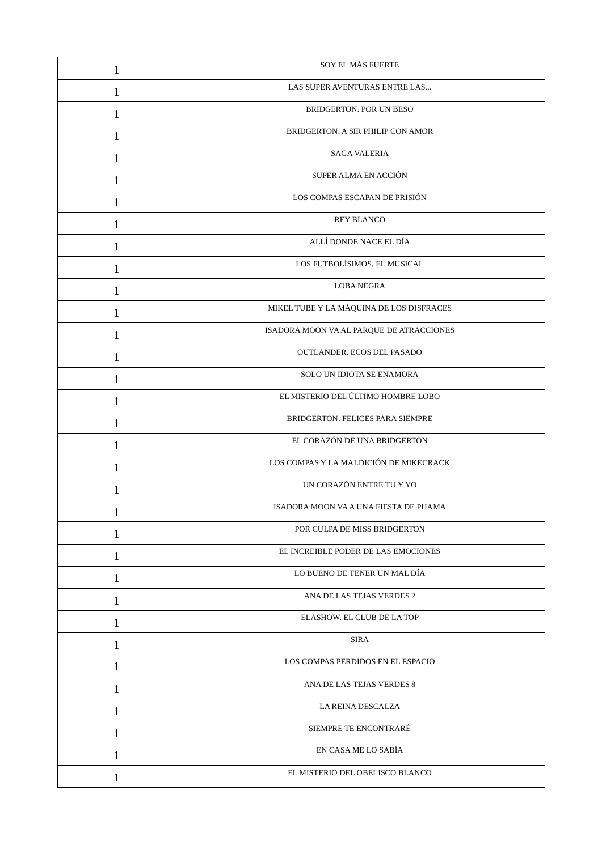| 1            | SOY EL MÁS FUERTE                        |
|--------------|------------------------------------------|
| 1            | LAS SUPER AVENTURAS ENTRE LAS            |
| 1            | BRIDGERTON. POR UN BESO                  |
| 1            | BRIDGERTON. A SIR PHILIP CON AMOR        |
| 1            | <b>SAGA VALERIA</b>                      |
| 1            | SUPER ALMA EN ACCIÓN                     |
| 1            | LOS COMPAS ESCAPAN DE PRISIÓN            |
| 1            | <b>REY BLANCO</b>                        |
| 1            | ALLÍ DONDE NACE EL DÍA                   |
| 1            | LOS FUTBOLÍSIMOS, EL MUSICAL             |
| 1            | <b>LOBA NEGRA</b>                        |
| 1            | MIKEL TUBE Y LA MÁQUINA DE LOS DISFRACES |
| 1            | ISADORA MOON VA AL PARQUE DE ATRACCIONES |
| 1            | OUTLANDER. ECOS DEL PASADO               |
| 1            | SOLO UN IDIOTA SE ENAMORA                |
| 1            | EL MISTERIO DEL ÚLTIMO HOMBRE LOBO       |
| 1            | BRIDGERTON. FELICES PARA SIEMPRE         |
| 1            | EL CORAZÓN DE UNA BRIDGERTON             |
| 1            | LOS COMPAS Y LA MALDICIÓN DE MIKECRACK   |
| 1            | UN CORAZÓN ENTRE TU Y YO                 |
| T            | ISADORA MOON VA A UNA FIESTA DE PIJAMA   |
| 1            | POR CULPA DE MISS BRIDGERTON             |
| 1            | EL INCREIBLE PODER DE LAS EMOCIONES      |
| 1            | LO BUENO DE TENER UN MAL DÍA             |
| 1            | ANA DE LAS TEJAS VERDES 2                |
| $\mathbf{1}$ | ELASHOW. EL CLUB DE LA TOP               |
| 1            | <b>SIRA</b>                              |
| 1            | LOS COMPAS PERDIDOS EN EL ESPACIO        |
| 1            | ANA DE LAS TEJAS VERDES 8                |
| 1            | LA REINA DESCALZA                        |
| 1            | SIEMPRE TE ENCONTRARÉ                    |
| 1            | EN CASA ME LO SABÍA                      |
| $\mathbf{1}$ | EL MISTERIO DEL OBELISCO BLANCO          |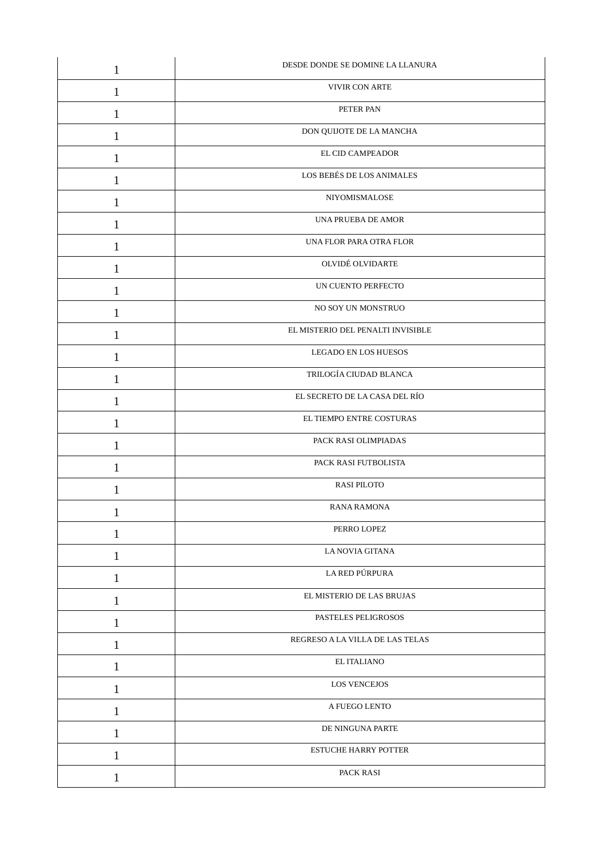| $\mathbf{1}$ | DESDE DONDE SE DOMINE LA LLANURA  |
|--------------|-----------------------------------|
| $\mathbf{1}$ | VIVIR CON ARTE                    |
| 1            | PETER PAN                         |
| 1            | DON QUIJOTE DE LA MANCHA          |
| $\mathbf{1}$ | EL CID CAMPEADOR                  |
| 1            | LOS BEBÉS DE LOS ANIMALES         |
| 1            | NIYOMISMALOSE                     |
| 1            | UNA PRUEBA DE AMOR                |
| 1            | UNA FLOR PARA OTRA FLOR           |
| 1            | OLVIDÉ OLVIDARTE                  |
| 1            | UN CUENTO PERFECTO                |
| $\mathbf{1}$ | NO SOY UN MONSTRUO                |
| 1            | EL MISTERIO DEL PENALTI INVISIBLE |
| 1            | LEGADO EN LOS HUESOS              |
| 1            | TRILOGÍA CIUDAD BLANCA            |
| 1            | EL SECRETO DE LA CASA DEL RÍO     |
| 1            | EL TIEMPO ENTRE COSTURAS          |
| $\mathbf{1}$ | PACK RASI OLIMPIADAS              |
| 1            | PACK RASI FUTBOLISTA              |
|              | <b>RASI PILOTO</b>                |
| 1            | <b>RANA RAMONA</b>                |
| $\mathbf{1}$ | PERRO LOPEZ                       |
| 1            | LA NOVIA GITANA                   |
| $\mathbf{1}$ | LA RED PÚRPURA                    |
| $\mathbf{1}$ | EL MISTERIO DE LAS BRUJAS         |
| 1            | PASTELES PELIGROSOS               |
| $\mathbf{1}$ | REGRESO A LA VILLA DE LAS TELAS   |
| $\mathbf{1}$ | EL ITALIANO                       |
| $\mathbf{1}$ | <b>LOS VENCEJOS</b>               |
| $\mathbf{1}$ | A FUEGO LENTO                     |
| $\mathbf{1}$ | DE NINGUNA PARTE                  |
| $\mathbf{1}$ | <b>ESTUCHE HARRY POTTER</b>       |
| $\mathbf{1}$ | PACK RASI                         |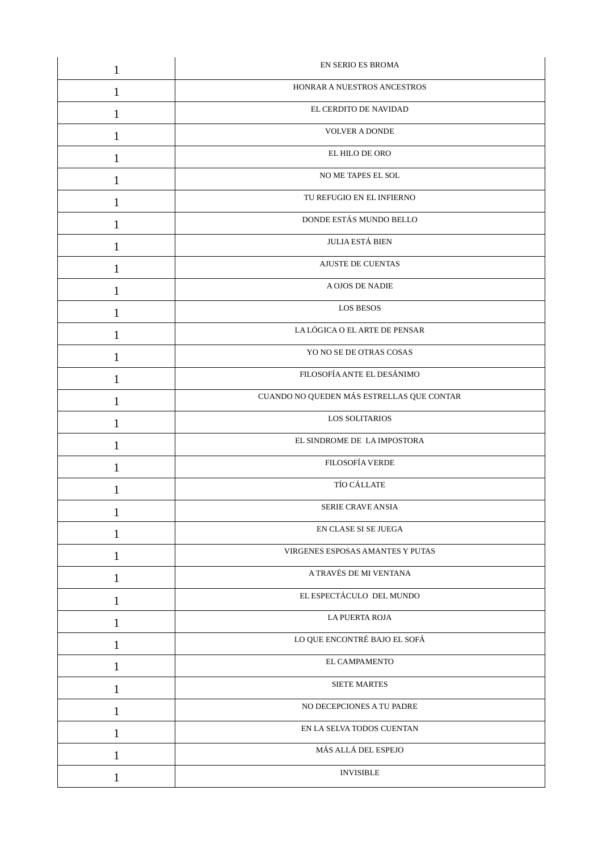| $\mathbf{1}$ | EN SERIO ES BROMA                         |
|--------------|-------------------------------------------|
| 1            | HONRAR A NUESTROS ANCESTROS               |
| 1            | EL CERDITO DE NAVIDAD                     |
| $\mathbf{1}$ | <b>VOLVER A DONDE</b>                     |
| $\mathbf{1}$ | EL HILO DE ORO                            |
| 1            | NO ME TAPES EL SOL                        |
| $\mathbf{1}$ | TU REFUGIO EN EL INFIERNO                 |
| 1            | DONDE ESTÁS MUNDO BELLO                   |
| 1            | JULIA ESTÁ BIEN                           |
| $\mathbf{1}$ | <b>AJUSTE DE CUENTAS</b>                  |
| $\mathbf{1}$ | A OJOS DE NADIE                           |
| 1            | LOS BESOS                                 |
| $\mathbf{1}$ | LA LÓGICA O EL ARTE DE PENSAR             |
| 1            | YO NO SE DE OTRAS COSAS                   |
| 1            | FILOSOFÍA ANTE EL DESÁNIMO                |
| 1            | CUANDO NO QUEDEN MÁS ESTRELLAS QUE CONTAR |
| $\mathbf{1}$ | LOS SOLITARIOS                            |
| 1            | EL SINDROME DE LA IMPOSTORA               |
| 1            | FILOSOFÍA VERDE                           |
| 1            | TÍO CÁLLATE                               |
| T            | SERIE CRAVE ANSIA                         |
| 1            | EN CLASE SI SE JUEGA                      |
| 1            | VIRGENES ESPOSAS AMANTES Y PUTAS          |
| $\mathbf{1}$ | A TRAVÉS DE MI VENTANA                    |
| $\mathbf{1}$ | EL ESPECTÁCULO DEL MUNDO                  |
| $\mathbf{1}$ | LA PUERTA ROJA                            |
| $\mathbf{1}$ | LO QUE ENCONTRÉ BAJO EL SOFÁ              |
| $\mathbf{1}$ | EL CAMPAMENTO                             |
| 1            | <b>SIETE MARTES</b>                       |
| $\mathbf{1}$ | NO DECEPCIONES A TU PADRE                 |
| $\mathbf{1}$ | EN LA SELVA TODOS CUENTAN                 |
| 1            | MÁS ALLÁ DEL ESPEJO                       |
| $\mathbf{1}$ | <b>INVISIBLE</b>                          |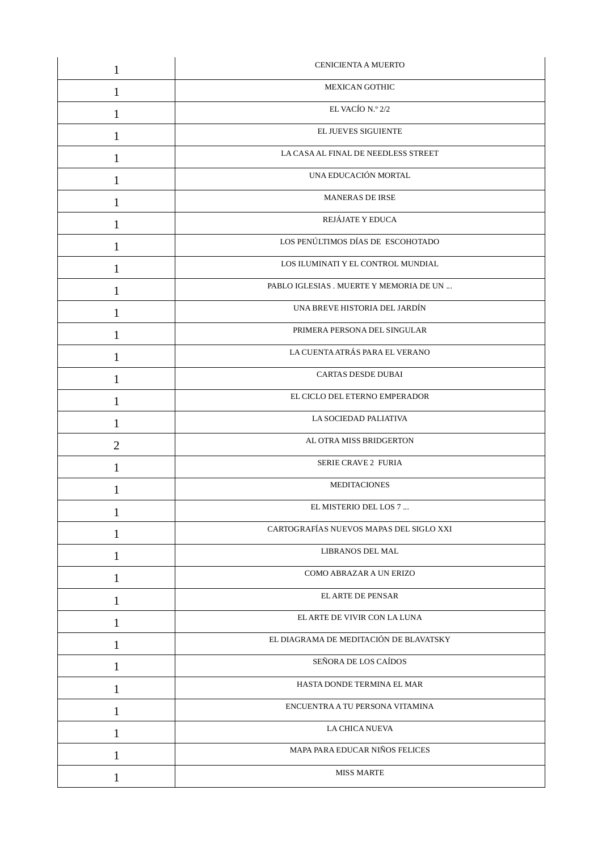| 1              | CENICIENTA A MUERTO                     |
|----------------|-----------------------------------------|
| 1              | <b>MEXICAN GOTHIC</b>                   |
| 1              | EL VACÍO N.º 2/2                        |
| 1              | EL JUEVES SIGUIENTE                     |
| 1              | LA CASA AL FINAL DE NEEDLESS STREET     |
| 1              | UNA EDUCACIÓN MORTAL                    |
| $\mathbf{1}$   | <b>MANERAS DE IRSE</b>                  |
| 1              | REJÁJATE Y EDUCA                        |
| 1              | LOS PENÚLTIMOS DÍAS DE ESCOHOTADO       |
| 1              | LOS ILUMINATI Y EL CONTROL MUNDIAL      |
| 1              | PABLO IGLESIAS . MUERTE Y MEMORIA DE UN |
| 1              | UNA BREVE HISTORIA DEL JARDÍN           |
| 1              | PRIMERA PERSONA DEL SINGULAR            |
| 1              | LA CUENTA ATRÁS PARA EL VERANO          |
| 1              | CARTAS DESDE DUBAI                      |
| 1              | EL CICLO DEL ETERNO EMPERADOR           |
| $\mathbf{1}$   | LA SOCIEDAD PALIATIVA                   |
| $\overline{2}$ | AL OTRA MISS BRIDGERTON                 |
| 1              | <b>SERIE CRAVE 2 FURIA</b>              |
| 1              | <b>MEDITACIONES</b>                     |
| T              | EL MISTERIO DEL LOS 7.                  |
| 1              | CARTOGRAFÍAS NUEVOS MAPAS DEL SIGLO XXI |
| 1              | LIBRANOS DEL MAL                        |
| 1              | COMO ABRAZAR A UN ERIZO                 |
| $\mathbf{1}$   | <b>ELARTE DE PENSAR</b>                 |
| $\mathbf{1}$   | EL ARTE DE VIVIR CON LA LUNA            |
| $\mathbf{1}$   | EL DIAGRAMA DE MEDITACIÓN DE BLAVATSKY  |
| 1              | SEÑORA DE LOS CAÍDOS                    |
| 1              | HASTA DONDE TERMINA EL MAR              |
| $\mathbf{1}$   | ENCUENTRA A TU PERSONA VITAMINA         |
| $\mathbf{1}$   | LA CHICA NUEVA                          |
| 1              | MAPA PARA EDUCAR NIÑOS FELICES          |
| $\mathbf{1}$   | <b>MISS MARTE</b>                       |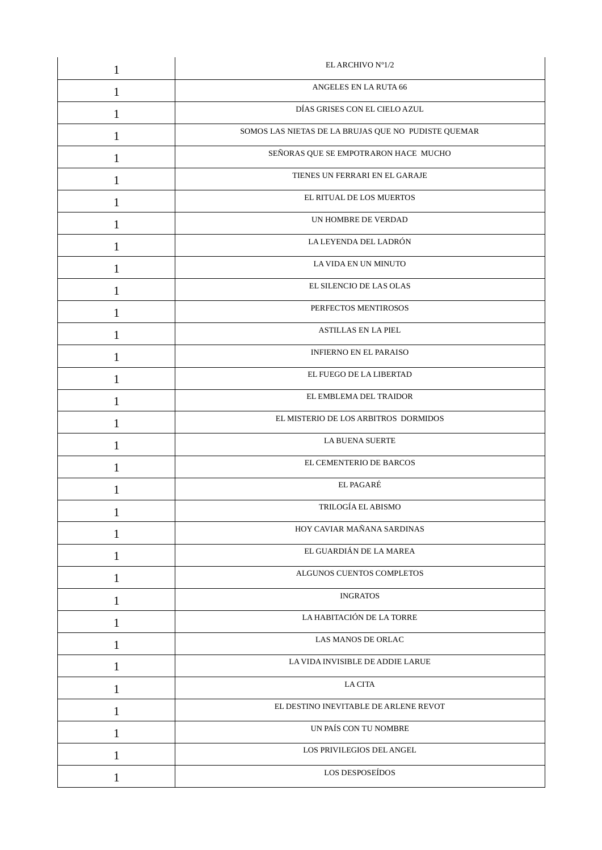| 1            | EL ARCHIVO Nº1/2                                    |
|--------------|-----------------------------------------------------|
| 1            | ANGELES EN LA RUTA 66                               |
| 1            | DÍAS GRISES CON EL CIELO AZUL                       |
| 1            | SOMOS LAS NIETAS DE LA BRUJAS QUE NO PUDISTE QUEMAR |
| 1            | SEÑORAS QUE SE EMPOTRARON HACE MUCHO                |
| 1            | TIENES UN FERRARI EN EL GARAJE                      |
| $\mathbf{1}$ | EL RITUAL DE LOS MUERTOS                            |
| 1            | UN HOMBRE DE VERDAD                                 |
| 1            | LA LEYENDA DEL LADRÓN                               |
| 1            | LA VIDA EN UN MINUTO                                |
| 1            | EL SILENCIO DE LAS OLAS                             |
| 1            | PERFECTOS MENTIROSOS                                |
| 1            | <b>ASTILLAS EN LA PIEL</b>                          |
| 1            | INFIERNO EN EL PARAISO                              |
| 1            | EL FUEGO DE LA LIBERTAD                             |
| 1            | EL EMBLEMA DEL TRAIDOR                              |
| $\mathbf{1}$ | EL MISTERIO DE LOS ARBITROS DORMIDOS                |
| 1            | <b>LA BUENA SUERTE</b>                              |
| 1            | EL CEMENTERIO DE BARCOS                             |
| 1            | EL PAGARÉ                                           |
|              | TRILOGÍA EL ABISMO                                  |
| 1            | HOY CAVIAR MAÑANA SARDINAS                          |
| 1            | EL GUARDIÁN DE LA MAREA                             |
| 1            | ALGUNOS CUENTOS COMPLETOS                           |
| $\mathbf{1}$ | <b>INGRATOS</b>                                     |
| $\mathbf{1}$ | LA HABITACIÓN DE LA TORRE                           |
| $\mathbf{1}$ | LAS MANOS DE ORLAC                                  |
| 1            | LA VIDA INVISIBLE DE ADDIE LARUE                    |
| 1            | <b>LA CITA</b>                                      |
| $\mathbf{1}$ | EL DESTINO INEVITABLE DE ARLENE REVOT               |
| 1            | UN PAÍS CON TU NOMBRE                               |
| 1            | LOS PRIVILEGIOS DEL ANGEL                           |
| $\mathbf{1}$ | LOS DESPOSEÍDOS                                     |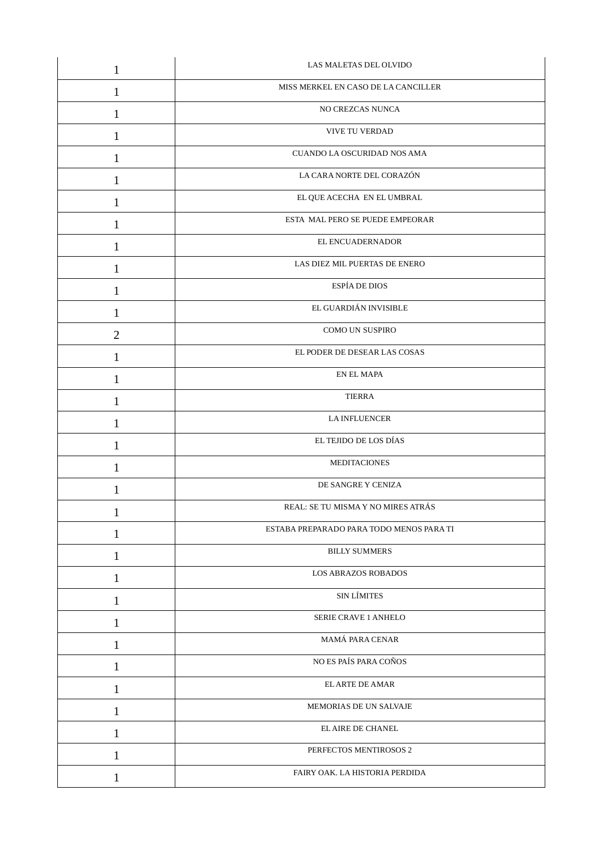| $\mathbf{1}$   | LAS MALETAS DEL OLVIDO                   |
|----------------|------------------------------------------|
| $\mathbf{1}$   | MISS MERKEL EN CASO DE LA CANCILLER      |
| 1              | NO CREZCAS NUNCA                         |
| $\mathbf{1}$   | VIVE TU VERDAD                           |
| 1              | CUANDO LA OSCURIDAD NOS AMA              |
| 1              | LA CARA NORTE DEL CORAZÓN                |
| $\mathbf{1}$   | EL QUE ACECHA EN EL UMBRAL               |
| 1              | ESTA MAL PERO SE PUEDE EMPEORAR          |
| 1              | EL ENCUADERNADOR                         |
| 1              | LAS DIEZ MIL PUERTAS DE ENERO            |
| $\mathbf{1}$   | ESPÍA DE DIOS                            |
| 1              | EL GUARDIÁN INVISIBLE                    |
| $\overline{2}$ | COMO UN SUSPIRO                          |
| $\mathbf{1}$   | EL PODER DE DESEAR LAS COSAS             |
| 1              | EN EL MAPA                               |
| 1              | <b>TIERRA</b>                            |
| $\mathbf{1}$   | LA INFLUENCER                            |
| 1              | EL TEJIDO DE LOS DÍAS                    |
| 1              | MEDITACIONES                             |
| 1              | DE SANGRE Y CENIZA                       |
| 1              | REAL: SE TU MISMA Y NO MIRES ATRÁS       |
| $\mathbf{1}$   | ESTABA PREPARADO PARA TODO MENOS PARA TI |
| 1              | <b>BILLY SUMMERS</b>                     |
| $\mathbf{1}$   | <b>LOS ABRAZOS ROBADOS</b>               |
| $\mathbf{1}$   | <b>SIN LÍMITES</b>                       |
| 1              | SERIE CRAVE 1 ANHELO                     |
| $\mathbf{1}$   | MAMÁ PARA CENAR                          |
| 1              | NO ES PAÍS PARA COÑOS                    |
| 1              | <b>ELARTE DE AMAR</b>                    |
| $\mathbf{1}$   | MEMORIAS DE UN SALVAJE                   |
| $\mathbf{1}$   | EL AIRE DE CHANEL                        |
| 1              | PERFECTOS MENTIROSOS 2                   |
| $\mathbf{1}$   | FAIRY OAK. LA HISTORIA PERDIDA           |